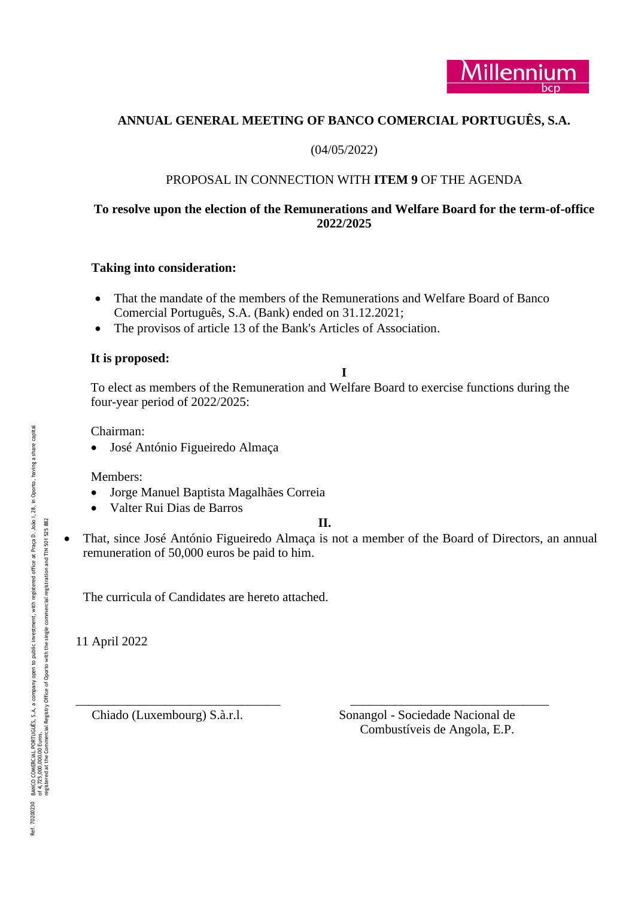

# **ANNUAL GENERAL MEETING OF BANCO COMERCIAL PORTUGUÊS, S.A.**

# (04/05/2022)

# PROPOSAL IN CONNECTION WITH **ITEM 9** OF THE AGENDA

# **To resolve upon the election of the Remunerations and Welfare Board for the term -of-office 2022/2025**

## **Taking into consideration:**

- That the mandate of the members of the Remunerations and Welfare Board of Banco Comercial Português, S.A. (Bank) ended on 31.12.2021;
- The provisos of article 13 of the Bank's Articles of Association .

# **It is proposed:**

# **I**

To elect as members of the Remuneration and Welfare Board to exercise functions during the four -year period of 2022/2025:

Chairman:

• José António Figueiredo Almaça

Members:

- Jorge Manuel Baptista Magalhães Correia
- Valter Rui Dias de Barros

# **II.**

• That, since José António Figueiredo Almaça is not a member of the Board of Directors, an annual remuneration of 50,000 euros be paid to him.

The curricula of Candidates are hereto attached.

11 April 2022

Chiado (Luxembourg) S.à.r.l.

\_\_\_\_\_\_\_\_\_\_\_\_\_\_\_\_\_\_\_\_\_\_\_\_\_\_\_\_\_\_\_\_ \_\_\_\_\_\_\_\_\_\_\_\_\_\_\_\_\_\_\_\_\_\_\_\_\_\_\_\_\_\_\_ Sonangol - Sociedade Nacional de Combustíveis de Angola, E.P.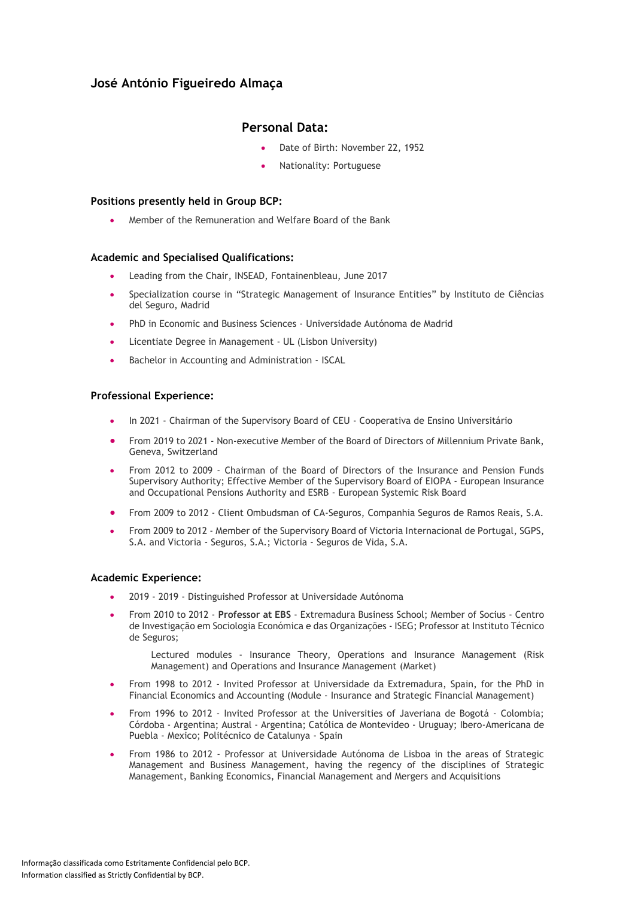# **José António Figueiredo Almaça**

# **Personal Data:**

- Date of Birth: November 22, 1952
- Nationality: Portuguese

## **Positions presently held in Group BCP:**

• Member of the Remuneration and Welfare Board of the Bank

## **Academic and Specialised Qualifications:**

- Leading from the Chair, INSEAD, Fontainenbleau, June 2017
- Specialization course in "Strategic Management of Insurance Entities" by Instituto de Ciências del Seguro, Madrid
- PhD in Economic and Business Sciences Universidade Autónoma de Madrid
- Licentiate Degree in Management UL (Lisbon University)
- Bachelor in Accounting and Administration ISCAL

## **Professional Experience:**

- In 2021 Chairman of the Supervisory Board of CEU Cooperativa de Ensino Universitário
- From 2019 to 2021 Non-executive Member of the Board of Directors of Millennium Private Bank, Geneva, Switzerland
- From 2012 to 2009 Chairman of the Board of Directors of the Insurance and Pension Funds Supervisory Authority; Effective Member of the Supervisory Board of EIOPA - European Insurance and Occupational Pensions Authority and ESRB - European Systemic Risk Board
- From 2009 to 2012 Client Ombudsman of CA-Seguros, Companhia Seguros de Ramos Reais, S.A.
- From 2009 to 2012 Member of the Supervisory Board of Victoria Internacional de Portugal, SGPS, S.A. and Victoria - Seguros, S.A.; Victoria - Seguros de Vida, S.A.

## **Academic Experience:**

- 2019 2019 Distinguished Professor at Universidade Autónoma
- From 2010 to 2012 **Professor at EBS** Extremadura Business School; Member of Socius Centro de Investigação em Sociologia Económica e das Organizações - ISEG; Professor at Instituto Técnico de Seguros;

Lectured modules - Insurance Theory, Operations and Insurance Management (Risk Management) and Operations and Insurance Management (Market)

- From 1998 to 2012 Invited Professor at Universidade da Extremadura, Spain, for the PhD in Financial Economics and Accounting (Module - Insurance and Strategic Financial Management)
- From 1996 to 2012 Invited Professor at the Universities of Javeriana de Bogotá Colombia; Córdoba - Argentina; Austral - Argentina; Católica de Montevideo - Uruguay; Ibero-Americana de Puebla - Mexico; Politécnico de Catalunya - Spain
- From 1986 to 2012 Professor at Universidade Autónoma de Lisboa in the areas of Strategic Management and Business Management, having the regency of the disciplines of Strategic Management, Banking Economics, Financial Management and Mergers and Acquisitions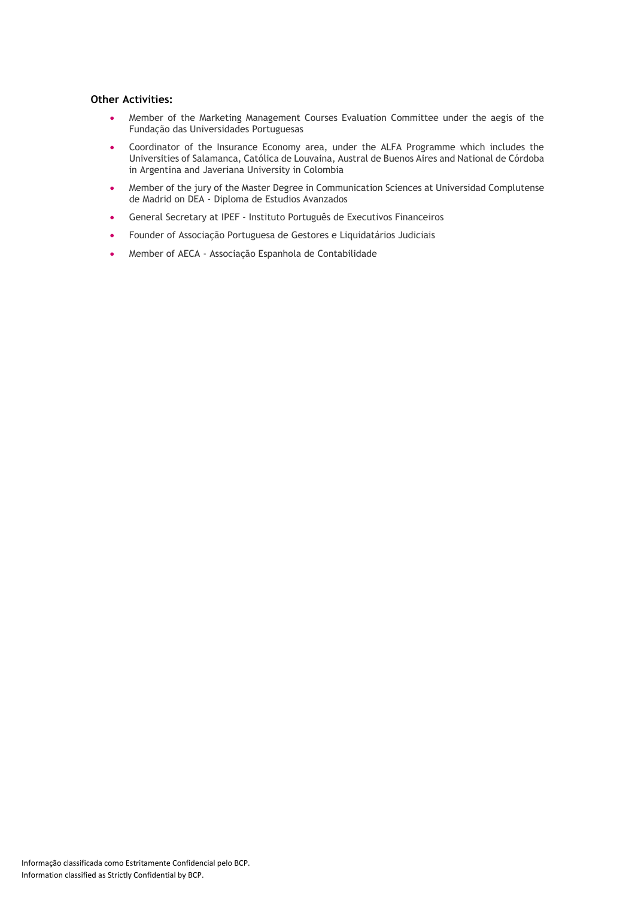## **Other Activities:**

- Member of the Marketing Management Courses Evaluation Committee under the aegis of the Fundação das Universidades Portuguesas
- Coordinator of the Insurance Economy area, under the ALFA Programme which includes the Universities of Salamanca, Católica de Louvaina, Austral de Buenos Aires and National de Córdoba in Argentina and Javeriana University in Colombia
- Member of the jury of the Master Degree in Communication Sciences at Universidad Complutense de Madrid on DEA - Diploma de Estudios Avanzados
- General Secretary at IPEF Instituto Português de Executivos Financeiros
- Founder of Associação Portuguesa de Gestores e Liquidatários Judiciais
- Member of AECA Associação Espanhola de Contabilidade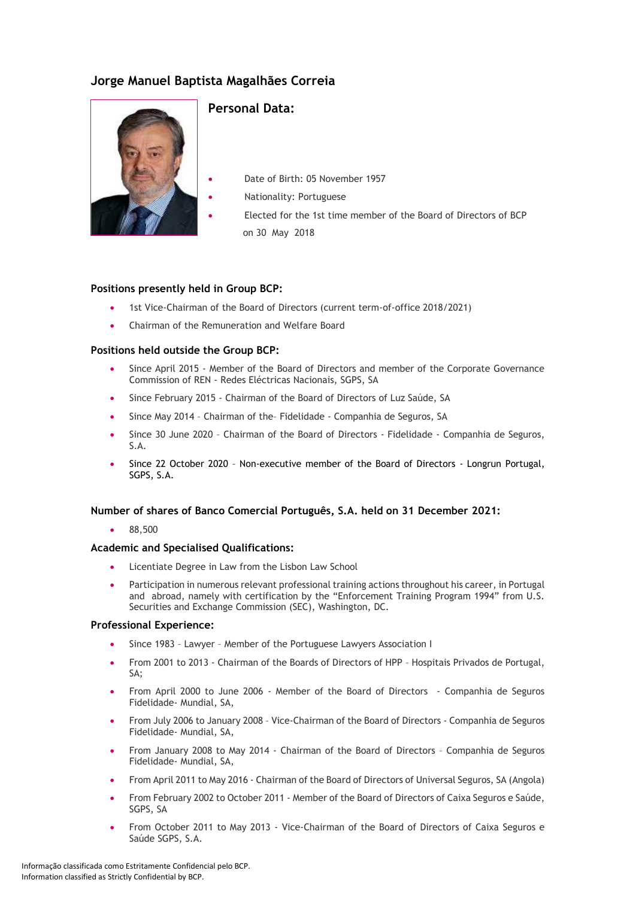# **Jorge Manuel Baptista Magalhães Correia**



# **Personal Data:**

Date of Birth: 05 November 1957 • Nationality: Portuguese • Elected for the 1st time member of the Board of Directors of BCP on 30 May 2018

## **Positions presently held in Group BCP:**

- 1st Vice-Chairman of the Board of Directors (current term-of-office 2018/2021)
- Chairman of the Remuneration and Welfare Board

## **Positions held outside the Group BCP:**

- Since April 2015 Member of the Board of Directors and member of the Corporate Governance Commission of REN - Redes Eléctricas Nacionais, SGPS, SA
- Since February 2015 Chairman of the Board of Directors of Luz Saúde, SA
- Since May 2014 Chairman of the-Fidelidade Companhia de Seguros, SA
- Since 30 June 2020 Chairman of the Board of Directors Fidelidade Companhia de Seguros, S.A.
- Since 22 October 2020 Non-executive member of the Board of Directors Longrun Portugal, SGPS, S.A.

## **Number of shares of Banco Comercial Português, S.A. held on 31 December 2021:**

• 88,500

## **Academic and Specialised Qualifications:**

- Licentiate Degree in Law from the Lisbon Law School
- Participation in numerous relevant professional training actions throughout his career, in Portugal and abroad, namely with certification by the "Enforcement Training Program 1994" from U.S. Securities and Exchange Commission (SEC), Washington, DC.

## **Professional Experience:**

- Since 1983 Lawyer Member of the Portuguese Lawyers Association I
- From 2001 to 2013 Chairman of the Boards of Directors of HPP Hospitais Privados de Portugal,  $S_A$ :
- From April 2000 to June 2006 Member of the Board of Directors Companhia de Seguros Fidelidade- Mundial, SA,
- From July 2006 to January 2008 Vice-Chairman of the Board of Directors Companhia de Seguros Fidelidade- Mundial, SA,
- From January 2008 to May 2014 Chairman of the Board of Directors Companhia de Seguros Fidelidade- Mundial, SA,
- From April 2011 to May 2016 Chairman of the Board of Directors of Universal Seguros, SA (Angola)
- From February 2002 to October 2011 Member of the Board of Directors of Caixa Seguros e Saúde, SGPS, SA
- From October 2011 to May 2013 Vice-Chairman of the Board of Directors of Caixa Seguros e Saúde SGPS, S.A.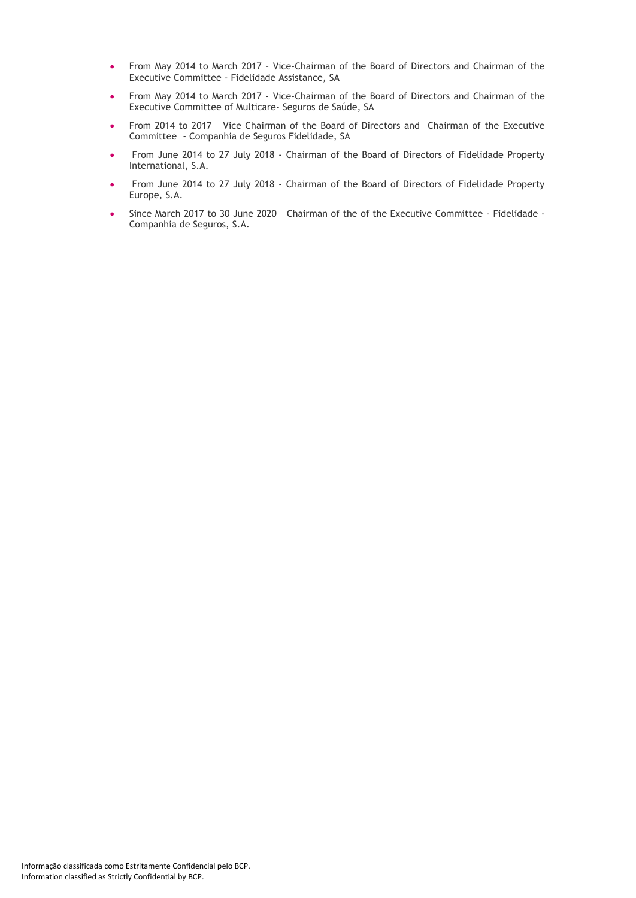- From May 2014 to March 2017 Vice-Chairman of the Board of Directors and Chairman of the Executive Committee - Fidelidade Assistance, SA
- From May 2014 to March 2017 Vice-Chairman of the Board of Directors and Chairman of the Executive Committee of Multicare- Seguros de Saúde, SA
- From 2014 to 2017 Vice Chairman of the Board of Directors and Chairman of the Executive Committee - Companhia de Seguros Fidelidade, SA
- From June 2014 to 27 July 2018 Chairman of the Board of Directors of Fidelidade Property International, S.A.
- From June 2014 to 27 July 2018 Chairman of the Board of Directors of Fidelidade Property Europe, S.A.
- Since March 2017 to 30 June 2020 Chairman of the of the Executive Committee Fidelidade Companhia de Seguros, S.A.